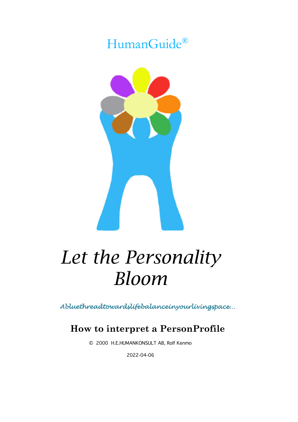## HumanGuide®



# *Let the Personality Bloom*

*Abluethreadtowardslifebalanceinyourlivingspace…* 

## **How to interpret a PersonProfile**

© 2000 H.E.HUMANKONSULT AB, Rolf Kenmo

2022-04-06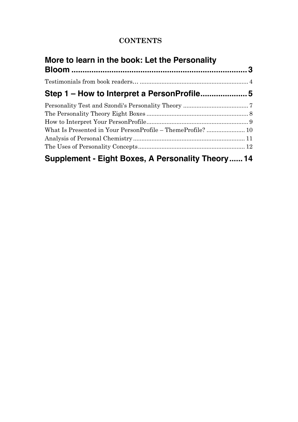## **CONTENTS**

| More to learn in the book: Let the Personality    |  |  |
|---------------------------------------------------|--|--|
|                                                   |  |  |
|                                                   |  |  |
|                                                   |  |  |
|                                                   |  |  |
|                                                   |  |  |
|                                                   |  |  |
|                                                   |  |  |
|                                                   |  |  |
|                                                   |  |  |
| Supplement - Eight Boxes, A Personality Theory 14 |  |  |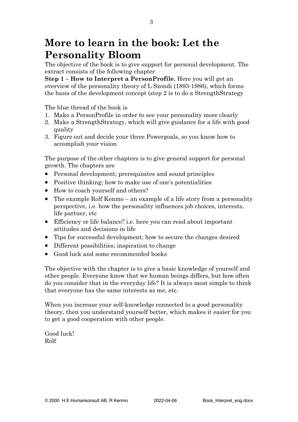## **More to learn in the book: Let the Personality Bloom**

The objective of the book is to give support for personal development. The extract consists of the following chapter

**Step 1 – How to Interpret a PersonProfile.** Here you will get an overview of the personality theory of L Szondi (1893-1986), which forms the basis of the development concept (step 2 is to do a StrengthStrategy

The blue thread of the book is

- 1. Make a PersonProfile in order to see your personality more clearly
- 2. Make a StrengthStrategy, which will give guidance for a life with good quality
- 3. Figure out and decide your three Powergoals, so you know how to accomplish your vision

The purpose of the other chapters is to give general support for personal growth. The chapters are

- Personal development; prerequisites and sound principles
- Positive thinking; how to make use of one's potentialities
- How to coach yourself and others?
- The example Rolf Kenmo an example of a life story from a personality perspective, i.e. how the personality influences job choices, interests, life partner, etc
- Efficiency or life balance? i.e. here you can read about important attitudes and decisions in life
- Tips for successful development; how to secure the changes desired
- Different possibilities; inspiration to change
- Good luck and some recommended books

The objective with the chapter is to give a basic knowledge of yourself and other people. Everyone know that we human beings differs, but how often do you consider that in the everyday life? It is always most simple to think that everyone has the same interests as me, etc.

When you increase your self-knowledge connected to a good personality theory, then you understand yourself better, which makes it easier for you to get a good cooperation with other people.

Good luck! Rolf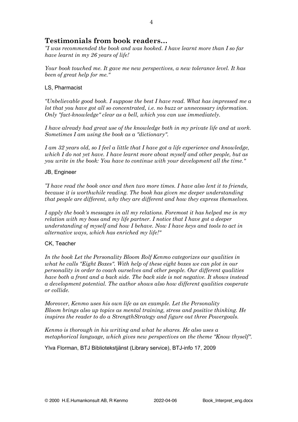## **Testimonials from book readers…**

*"I was recommended the book and was hooked. I have learnt more than I so far have learnt in my 26 years of life!* 

*Your book touched me. It gave me new perspectives, a new tolerance level. It has been of great help for me."*

#### LS, Pharmacist

*"Unbelievable good book. I suppose the best I have read. What has impressed me a lot that you have got all so concentrated, i.e. no buzz or unnecessary information. Only "fact-knowledge" clear as a bell, which you can use immediately.*

*I have already had great use of the knowledge both in my private life and at work. Sometimes I am using the book as a "dictionary".* 

*I am 32 years old, so I feel a little that I have got a life experience and knowledge, which I do not yet have. I have learnt more about myself and other people, but as you write in the book: You have to continue with your development all the time."*

#### JB, Engineer

*"I have read the book once and then two more times. I have also lent it to friends, because it is worthwhile reading. The book has given me deeper understanding that people are different, why they are different and how they express themselves.* 

*I apply the book's messages in all my relations. Foremost it has helped me in my relation with my boss and my life partner. I notice that I have got a deeper understanding of myself and how I behave. Now I have keys and tools to act in alternative ways, which has enriched my life!"*

#### CK, Teacher

*In the book Let the Personality Bloom Rolf Kenmo categorizes our qualities in*  what he calls "Eight Boxes". With help of these eight boxes we can plot in our *personality in order to coach ourselves and other people. Our different qualities have both a front and a back side. The back side is not negative. It shows instead a development potential. The author shows also how different qualities cooperate or collide.*

*Moreover, Kenmo uses his own life as an example. Let the Personality Bloom brings also up topics as mental training, stress and positive thinking. He inspires the reader to do a StrengthStrategy and figure out three Powergoals.* 

*Kenmo is thorough in his writing and what he shares. He also uses a metaphorical language, which gives new perspectives on the theme "Know thyself".*

Ylva Florman, BTJ Bibliotekstjänst (Library service), BTJ-info 17, 2009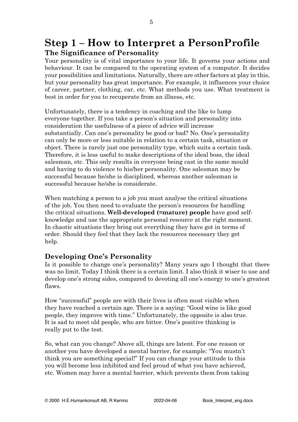## **Step 1 – How to Interpret a PersonProfile The Significance of Personality**

Your personality is of vital importance to your life. It governs your actions and behaviour. It can be compared to the operating system of a computer. It decides your possibilities and limitations. Naturally, there are other factors at play in this, but your personality has great importance. For example, it influences your choice of career, partner, clothing, car, etc. What methods you use. What treatment is best in order for you to recuperate from an illness, etc.

Unfortunately, there is a tendency in coaching and the like to lump everyone together. If you take a person's situation and personality into consideration the usefulness of a piece of advice will increase substantially. Can one's personality be good or bad? No. One's personality can only be more or less suitable in relation to a certain task, situation or object. There is rarely just one personality type, which suits a certain task. Therefore, it is less useful to make descriptions of the ideal boss, the ideal salesman, etc. This only results in everyone being cast in the same mould and having to do violence to his/her personality. One salesman may be successful because he/she is disciplined, whereas another salesman is successful because he/she is considerate.

When matching a person to a job you must analyse the critical situations of the job. You then need to evaluate the person's resources for handling the critical situations. **Well-developed (=mature) people** have good selfknowledge and use the appropriate personal resource at the right moment. In chaotic situations they bring out everything they have got in terms of order. Should they feel that they lack the resources necessary they get help.

## **Developing One's Personality**

Is it possible to change one's personality? Many years ago I thought that there was no limit. Today I think there is a certain limit. I also think it wiser to use and develop one's strong sides, compared to devoting all one's energy to one's greatest flaws.

How "successful" people are with their lives is often most visible when they have reached a certain age. There is a saying: "Good wine is like good people, they improve with time." Unfortunately, the opposite is also true. It is sad to meet old people, who are bitter. One's positive thinking is really put to the test.

So, what can you change? Above all, things are latent. For one reason or another you have developed a mental barrier, for example: "You mustn't think you are something special!" If you can change your attitude to this you will become less inhibited and feel proud of what you have achieved, etc. Women may have a mental barrier, which prevents them from taking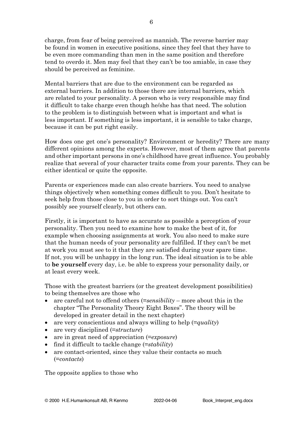charge, from fear of being perceived as mannish. The reverse barrier may be found in women in executive positions, since they feel that they have to be even more commanding than men in the same position and therefore tend to overdo it. Men may feel that they can't be too amiable, in case they should be perceived as feminine.

Mental barriers that are due to the environment can be regarded as external barriers. In addition to those there are internal barriers, which are related to your personality. A person who is very responsible may find it difficult to take charge even though he/she has that need. The solution to the problem is to distinguish between what is important and what is less important. If something is less important, it is sensible to take charge, because it can be put right easily.

How does one get one's personality? Environment or heredity? There are many different opinions among the experts. However, most of them agree that parents and other important persons in one's childhood have great influence. You probably realize that several of your character traits come from your parents. They can be either identical or quite the opposite.

Parents or experiences made can also create barriers. You need to analyse things objectively when something comes difficult to you. Don't hesitate to seek help from those close to you in order to sort things out. You can't possibly see yourself clearly, but others can.

Firstly, it is important to have as accurate as possible a perception of your personality. Then you need to examine how to make the best of it, for example when choosing assignments at work. You also need to make sure that the human needs of your personality are fulfilled. If they can't be met at work you must see to it that they are satisfied during your spare time. If not, you will be unhappy in the long run. The ideal situation is to be able to **be yourself** every day, i.e. be able to express your personality daily, or at least every week.

Those with the greatest barriers (or the greatest development possibilities) to being themselves are those who

- are careful not to offend others (=*sensibility* more about this in the chapter "The Personality Theory Eight Boxes". The theory will be developed in greater detail in the next chapter)
- are very conscientious and always willing to help (=*quality*)
- are very disciplined (=*structure*)
- are in great need of appreciation (=*exposure*)
- find it difficult to tackle change (=*stability*)
- are contact-oriented, since they value their contacts so much (=*contacts*)

The opposite applies to those who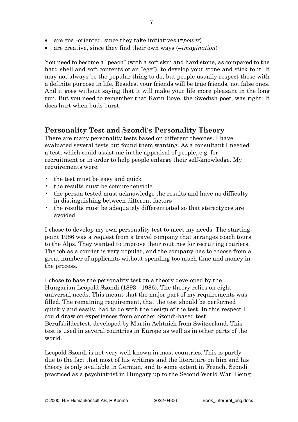- are goal-oriented, since they take initiatives (=*power*)
- are creative, since they find their own ways (=*imagination*)

You need to become a "peach" (with a soft skin and hard stone, as compared to the hard shell and soft contents of an "egg"), to develop your stone and stick to it. It may not always be the popular thing to do, but people usually respect those with a definite purpose in life. Besides, your friends will be true friends, not false ones. And it goes without saying that it will make your life more pleasant in the long run. But you need to remember that Karin Boye, the Swedish poet, was right: It does hurt when buds burst.

## **Personality Test and Szondi's Personality Theory**

There are many personality tests based on different theories. I have evaluated several tests but found them wanting. As a consultant I needed a test, which could assist me in the appraisal of people, e.g. for recruitment or in order to help people enlarge their self-knowledge. My requirements were:

- the test must be easy and quick
- the results must be comprehensible
- the person tested must acknowledge the results and have no difficulty in distinguishing between different factors
- the results must be adequately differentiated so that stereotypes are avoided

I chose to develop my own personality test to meet my needs. The startingpoint 1986 was a request from a travel company that arranges coach tours to the Alps. They wanted to improve their routines for recruiting couriers. The job as a courier is very popular, and the company has to choose from a great number of applicants without spending too much time and money in the process.

I chose to base the personality test on a theory developed by the Hungarian Leopold Szondi (1893 - 1986). The theory relies on eight universal needs. This meant that the major part of my requirements was filled. The remaining requirement, that the test should be performed quickly and easily, had to do with the design of the test. In this respect I could draw on experiences from another Szondi-based test, Berufsbildertest, developed by Martin Achtnich from Switzerland. This test is used in several countries in Europe as well as in other parts of the world.

Leopold Szondi is not very well known in most countries. This is partly due to the fact that most of his writings and the literature on him and his theory is only available in German, and to some extent in French. Szondi practiced as a psychiatrist in Hungary up to the Second World War. Being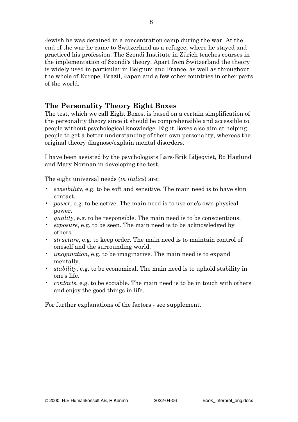Jewish he was detained in a concentration camp during the war. At the end of the war he came to Switzerland as a refugee, where he stayed and practiced his profession. The Szondi Institute in Zürich teaches courses in the implementation of Szondi's theory. Apart from Switzerland the theory is widely used in particular in Belgium and France, as well as throughout the whole of Europe, Brazil, Japan and a few other countries in other parts of the world.

## **The Personality Theory Eight Boxes**

The test, which we call Eight Boxes, is based on a certain simplification of the personality theory since it should be comprehensible and accessible to people without psychological knowledge. Eight Boxes also aim at helping people to get a better understanding of their own personality, whereas the original theory diagnose/explain mental disorders.

I have been assisted by the psychologists Lars-Erik Liljeqvist, Bo Haglund and Mary Norman in developing the test.

The eight universal needs (*in italics*) are:

- *sensibility*, e.g. to be soft and sensitive. The main need is to have skin contact.
- *power*, e.g. to be active. The main need is to use one's own physical power.
- *quality*, e.g. to be responsible. The main need is to be conscientious.
- *exposure*, e.g. to be seen. The main need is to be acknowledged by others.
- *structure*, e.g. to keep order. The main need is to maintain control of oneself and the surrounding world.
- *imagination*, e.g. to be imaginative. The main need is to expand mentally.
- *stability*, e.g. to be economical. The main need is to uphold stability in one's life.
- *contacts*, e.g. to be sociable. The main need is to be in touch with others and enjoy the good things in life.

For further explanations of the factors - see supplement.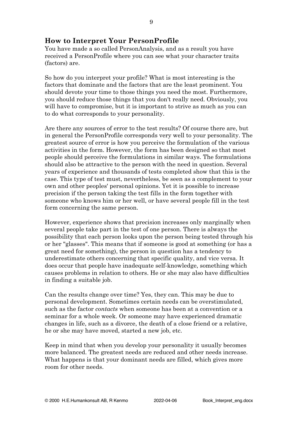## **How to Interpret Your PersonProfile**

You have made a so called PersonAnalysis, and as a result you have received a PersonProfile where you can see what your character traits (factors) are.

So how do you interpret your profile? What is most interesting is the factors that dominate and the factors that are the least prominent. You should devote your time to those things you need the most. Furthermore, you should reduce those things that you don't really need. Obviously, you will have to compromise, but it is important to strive as much as you can to do what corresponds to your personality.

Are there any sources of error to the test results? Of course there are, but in general the PersonProfile corresponds very well to your personality. The greatest source of error is how you perceive the formulation of the various activities in the form. However, the form has been designed so that most people should perceive the formulations in similar ways. The formulations should also be attractive to the person with the need in question. Several years of experience and thousands of tests completed show that this is the case. This type of test must, nevertheless, be seen as a complement to your own and other peoples' personal opinions. Yet it is possible to increase precision if the person taking the test fills in the form together with someone who knows him or her well, or have several people fill in the test form concerning the same person.

However, experience shows that precision increases only marginally when several people take part in the test of one person. There is always the possibility that each person looks upon the person being tested through his or her "glasses". This means that if someone is good at something (or has a great need for something), the person in question has a tendency to underestimate others concerning that specific quality, and vice versa. It does occur that people have inadequate self-knowledge, something which causes problems in relation to others. He or she may also have difficulties in finding a suitable job.

Can the results change over time? Yes, they can. This may be due to personal development. Sometimes certain needs can be overstimulated, such as the factor *contacts* when someone has been at a convention or a seminar for a whole week. Or someone may have experienced dramatic changes in life, such as a divorce, the death of a close friend or a relative, he or she may have moved, started a new job, etc.

Keep in mind that when you develop your personality it usually becomes more balanced. The greatest needs are reduced and other needs increase. What happens is that your dominant needs are filled, which gives more room for other needs.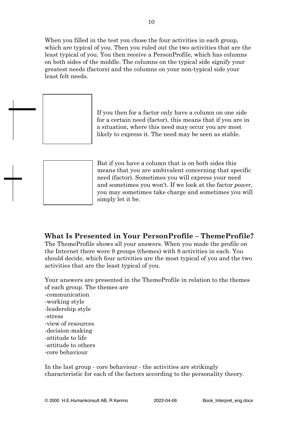When you filled in the test you chose the four activities in each group, which are typical of you. Then you ruled out the two activities that are the least typical of you. You then receive a PersonProfile, which has columns on both sides of the middle. The columns on the typical side signify your greatest needs (factors) and the columns on your non-typical side your least felt needs.



If you then for a factor only have a column on one side for a certain need (factor), this means that if you are in a situation, where this need may occur you are most likely to express it. The need may be seen as stable.



But if you have a column that is on both sides this means that you are ambivalent concerning that specific need (factor). Sometimes you will express your need and sometimes you won't. If we look at the factor *power*, you may sometimes take charge and sometimes you will simply let it be.

## **What Is Presented in Your PersonProfile – ThemeProfile?**

The ThemeProfile shows all your answers. When you made the profile on the Internet there were 9 groups (themes) with 8 activities in each. You should decide, which four activities are the most typical of you and the two activities that are the least typical of you.

Your answers are presented in the ThemeProfile in relation to the themes of each group. The themes are -communication -working style -leadership style -stress -view of resources -decision-making -attitude to life -attitude to others -core behaviour

In the last group - core behaviour - the activities are strikingly characteristic for each of the factors according to the personality theory.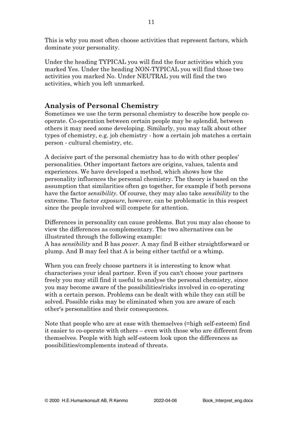This is why you most often choose activities that represent factors, which dominate your personality.

Under the heading TYPICAL you will find the four activities which you marked Yes. Under the heading NON-TYPICAL you will find those two activities you marked No. Under NEUTRAL you will find the two activities, which you left unmarked.

## **Analysis of Personal Chemistry**

Sometimes we use the term personal chemistry to describe how people cooperate. Co-operation between certain people may be splendid, between others it may need some developing. Similarly, you may talk about other types of chemistry, e.g. job chemistry - how a certain job matches a certain person - cultural chemistry, etc.

A decisive part of the personal chemistry has to do with other peoples' personalities. Other important factors are origins, values, talents and experiences. We have developed a method, which shows how the personality influences the personal chemistry. The theory is based on the assumption that similarities often go together, for example if both persons have the factor *sensibility.* Of course, they may also take *sensibility* to the extreme. The factor *exposure*, however, can be problematic in this respect since the people involved will compete for attention.

Differences in personality can cause problems. But you may also choose to view the differences as complementary. The two alternatives can be illustrated through the following example:

A has *sensibility* and B has *power*. A may find B either straightforward or plump. And B may feel that A is being either tactful or a whimp.

When you can freely choose partners it is interesting to know what characterises your ideal partner. Even if you can't choose your partners freely you may still find it useful to analyse the personal chemistry, since you may become aware of the possibilities/risks involved in co-operating with a certain person. Problems can be dealt with while they can still be solved. Possible risks may be eliminated when you are aware of each other's personalities and their consequences.

Note that people who are at ease with themselves (=high self-esteem) find it easier to co-operate with others – even with those who are different from themselves. People with high self-esteem look upon the differences as possibilities/complements instead of threats.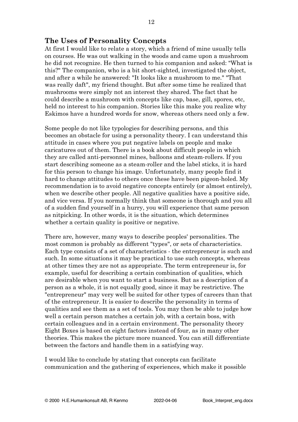#### **The Uses of Personality Concepts**

At first I would like to relate a story, which a friend of mine usually tells on courses. He was out walking in the woods and came upon a mushroom he did not recognize. He then turned to his companion and asked: "What is this?" The companion, who is a bit short-sighted, investigated the object, and after a while he answered: "It looks like a mushroom to me." "That was really daft", my friend thought. But after some time he realized that mushrooms were simply not an interest they shared. The fact that he could describe a mushroom with concepts like cap, base, gill, spores, etc, held no interest to his companion. Stories like this make you realize why Eskimos have a hundred words for snow, whereas others need only a few.

Some people do not like typologies for describing persons, and this becomes an obstacle for using a personality theory. I can understand this attitude in cases where you put negative labels on people and make caricatures out of them. There is a book about difficult people in which they are called anti-personnel mines, balloons and steam-rollers. If you start describing someone as a steam-roller and the label sticks, it is hard for this person to change his image. Unfortunately, many people find it hard to change attitudes to others once these have been pigeon-holed. My recommendation is to avoid negative concepts entirely (or almost entirely), when we describe other people. All negative qualities have a positive side, and vice versa. If you normally think that someone is thorough and you all of a sudden find yourself in a hurry, you will experience that same person as nitpicking. In other words, it is the situation, which determines whether a certain quality is positive or negative.

There are, however, many ways to describe peoples' personalities. The most common is probably as different "types", or sets of characteristics. Each type consists of a set of characteristics - the entrepreneur is such and such. In some situations it may be practical to use such concepts, whereas at other times they are not as appropriate. The term entrepreneur is, for example, useful for describing a certain combination of qualities, which are desirable when you want to start a business. But as a description of a person as a whole, it is not equally good, since it may be restrictive. The "entrepreneur" may very well be suited for other types of careers than that of the entrepreneur. It is easier to describe the personality in terms of qualities and see them as a set of tools. You may then be able to judge how well a certain person matches a certain job, with a certain boss, with certain colleagues and in a certain environment. The personality theory Eight Boxes is based on eight factors instead of four, as in many other theories. This makes the picture more nuanced. You can still differentiate between the factors and handle them in a satisfying way.

I would like to conclude by stating that concepts can facilitate communication and the gathering of experiences, which make it possible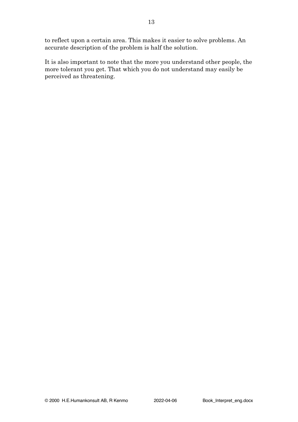to reflect upon a certain area. This makes it easier to solve problems. An accurate description of the problem is half the solution.

It is also important to note that the more you understand other people, the more tolerant you get. That which you do not understand may easily be perceived as threatening.